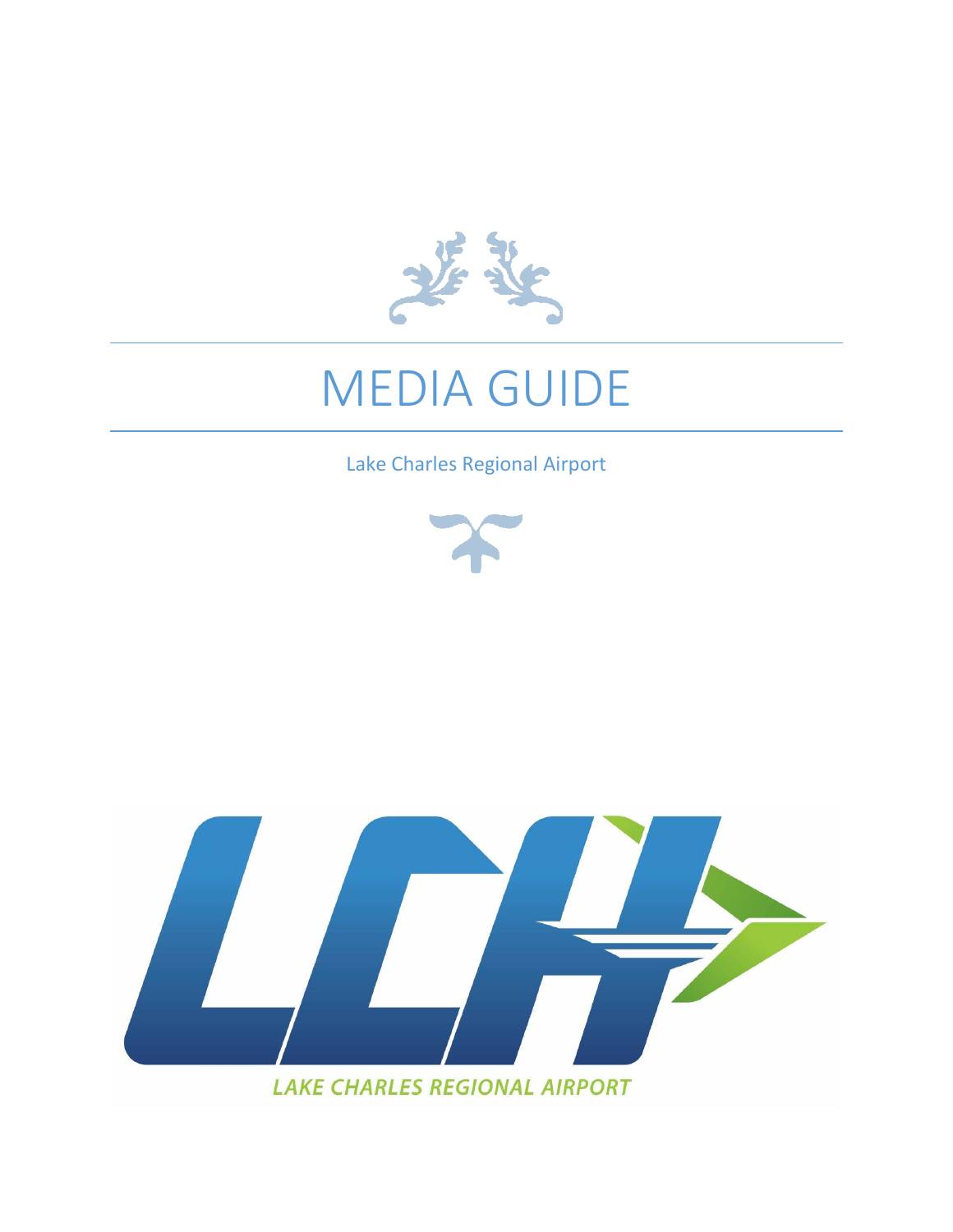

# MEDIA GUIDE

Lake Charles Regional Airport





**LAKE CHARLES REGIONAL AIRPORT**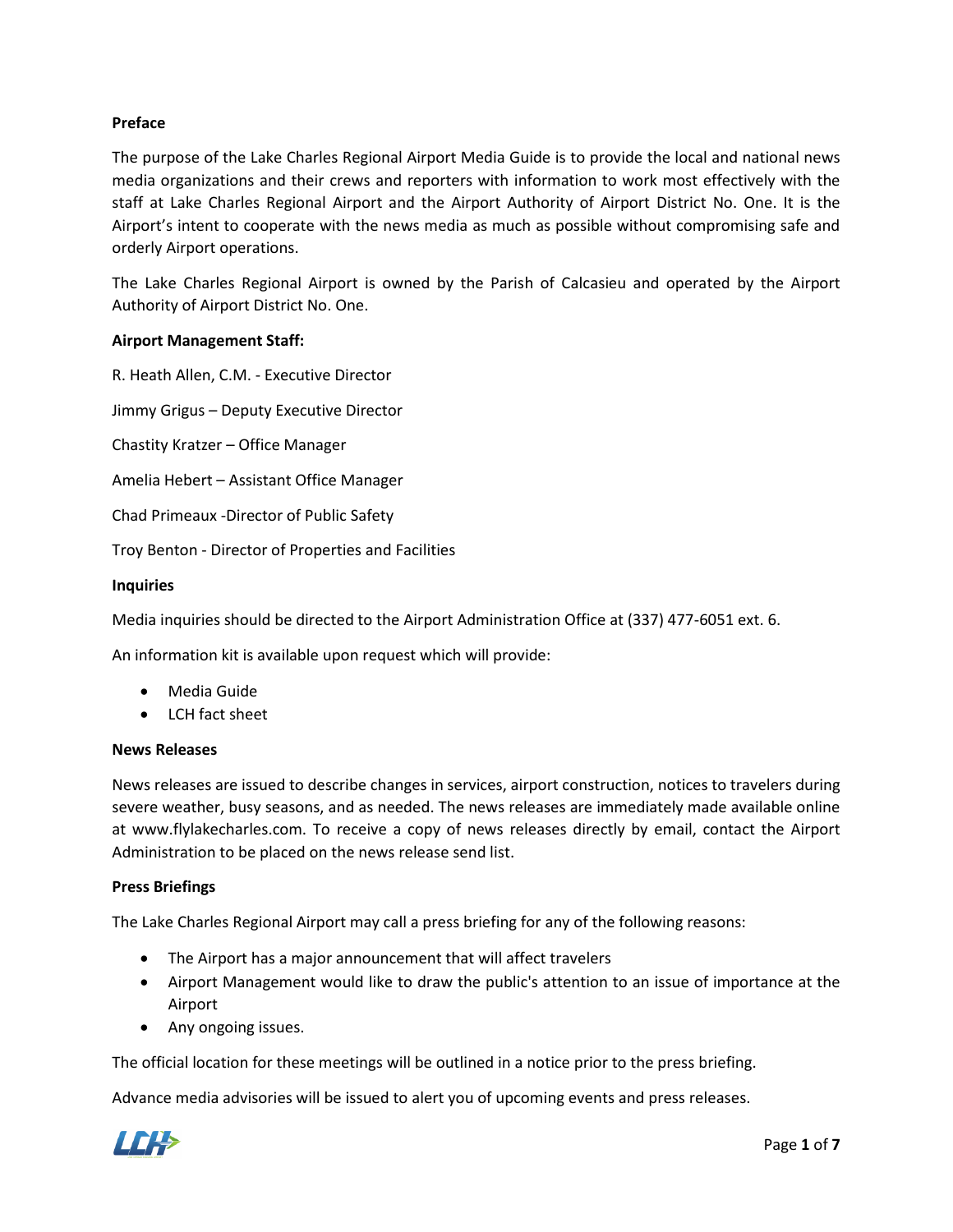## **Preface**

The purpose of the Lake Charles Regional Airport Media Guide is to provide the local and national news media organizations and their crews and reporters with information to work most effectively with the staff at Lake Charles Regional Airport and the Airport Authority of Airport District No. One. It is the Airport's intent to cooperate with the news media as much as possible without compromising safe and orderly Airport operations.

The Lake Charles Regional Airport is owned by the Parish of Calcasieu and operated by the Airport Authority of Airport District No. One.

#### **Airport Management Staff:**

R. Heath Allen, C.M. - Executive Director

Jimmy Grigus – Deputy Executive Director

Chastity Kratzer – Office Manager

Amelia Hebert – Assistant Office Manager

Chad Primeaux -Director of Public Safety

Troy Benton - Director of Properties and Facilities

#### **Inquiries**

Media inquiries should be directed to the Airport Administration Office at (337) 477-6051 ext. 6.

An information kit is available upon request which will provide:

- Media Guide
- LCH fact sheet

#### **News Releases**

News releases are issued to describe changes in services, airport construction, notices to travelers during severe weather, busy seasons, and as needed. The news releases are immediately made available online at www.flylakecharles.com. To receive a copy of news releases directly by email, contact the Airport Administration to be placed on the news release send list.

#### **Press Briefings**

The Lake Charles Regional Airport may call a press briefing for any of the following reasons:

- The Airport has a major announcement that will affect travelers
- Airport Management would like to draw the public's attention to an issue of importance at the Airport
- Any ongoing issues.

The official location for these meetings will be outlined in a notice prior to the press briefing.

Advance media advisories will be issued to alert you of upcoming events and press releases.

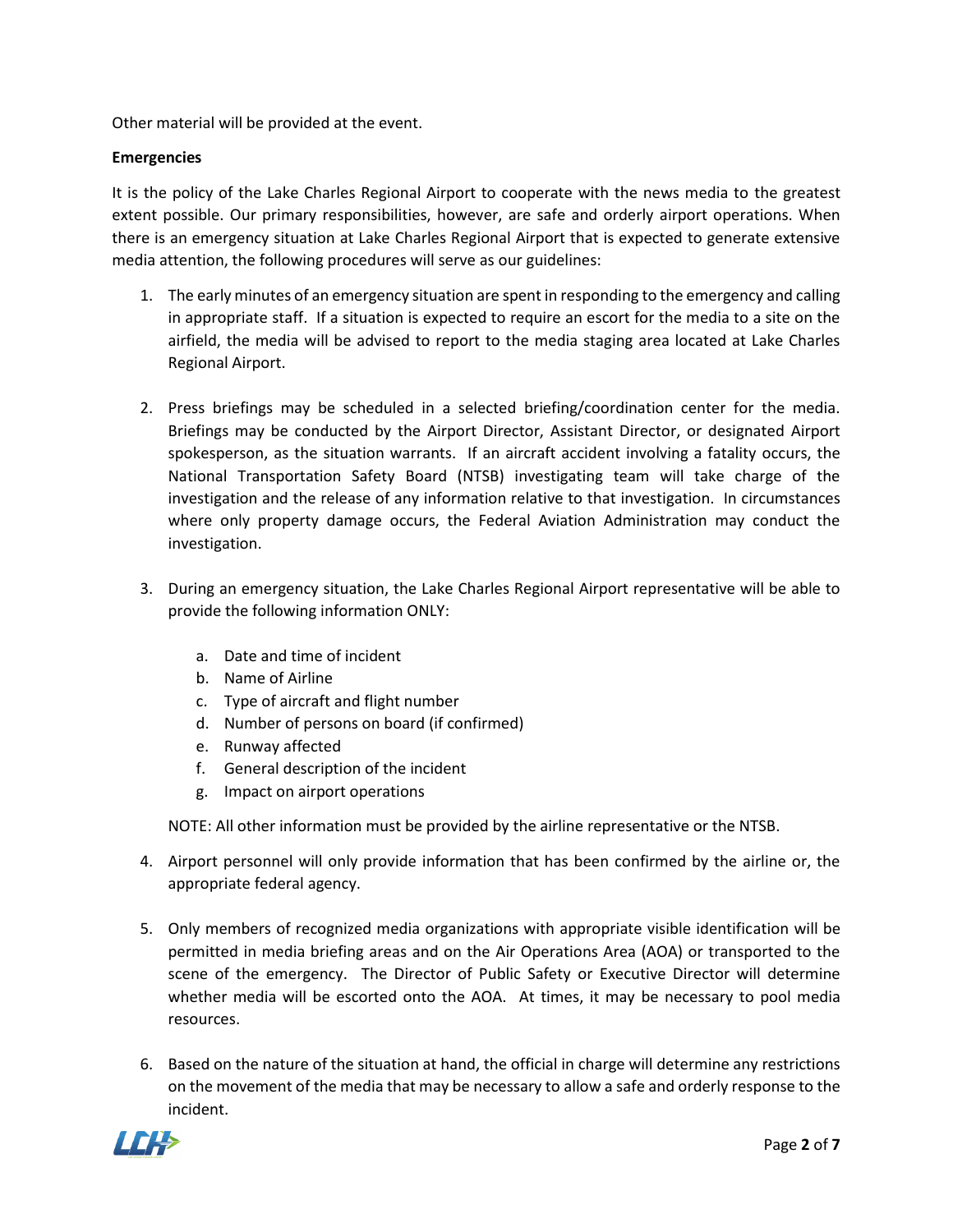Other material will be provided at the event.

## **Emergencies**

It is the policy of the Lake Charles Regional Airport to cooperate with the news media to the greatest extent possible. Our primary responsibilities, however, are safe and orderly airport operations. When there is an emergency situation at Lake Charles Regional Airport that is expected to generate extensive media attention, the following procedures will serve as our guidelines:

- 1. The early minutes of an emergency situation are spent in responding to the emergency and calling in appropriate staff. If a situation is expected to require an escort for the media to a site on the airfield, the media will be advised to report to the media staging area located at Lake Charles Regional Airport.
- 2. Press briefings may be scheduled in a selected briefing/coordination center for the media. Briefings may be conducted by the Airport Director, Assistant Director, or designated Airport spokesperson, as the situation warrants. If an aircraft accident involving a fatality occurs, the National Transportation Safety Board (NTSB) investigating team will take charge of the investigation and the release of any information relative to that investigation. In circumstances where only property damage occurs, the Federal Aviation Administration may conduct the investigation.
- 3. During an emergency situation, the Lake Charles Regional Airport representative will be able to provide the following information ONLY:
	- a. Date and time of incident
	- b. Name of Airline
	- c. Type of aircraft and flight number
	- d. Number of persons on board (if confirmed)
	- e. Runway affected
	- f. General description of the incident
	- g. Impact on airport operations

NOTE: All other information must be provided by the airline representative or the NTSB.

- 4. Airport personnel will only provide information that has been confirmed by the airline or, the appropriate federal agency.
- 5. Only members of recognized media organizations with appropriate visible identification will be permitted in media briefing areas and on the Air Operations Area (AOA) or transported to the scene of the emergency. The Director of Public Safety or Executive Director will determine whether media will be escorted onto the AOA. At times, it may be necessary to pool media resources.
- 6. Based on the nature of the situation at hand, the official in charge will determine any restrictions on the movement of the media that may be necessary to allow a safe and orderly response to the incident.

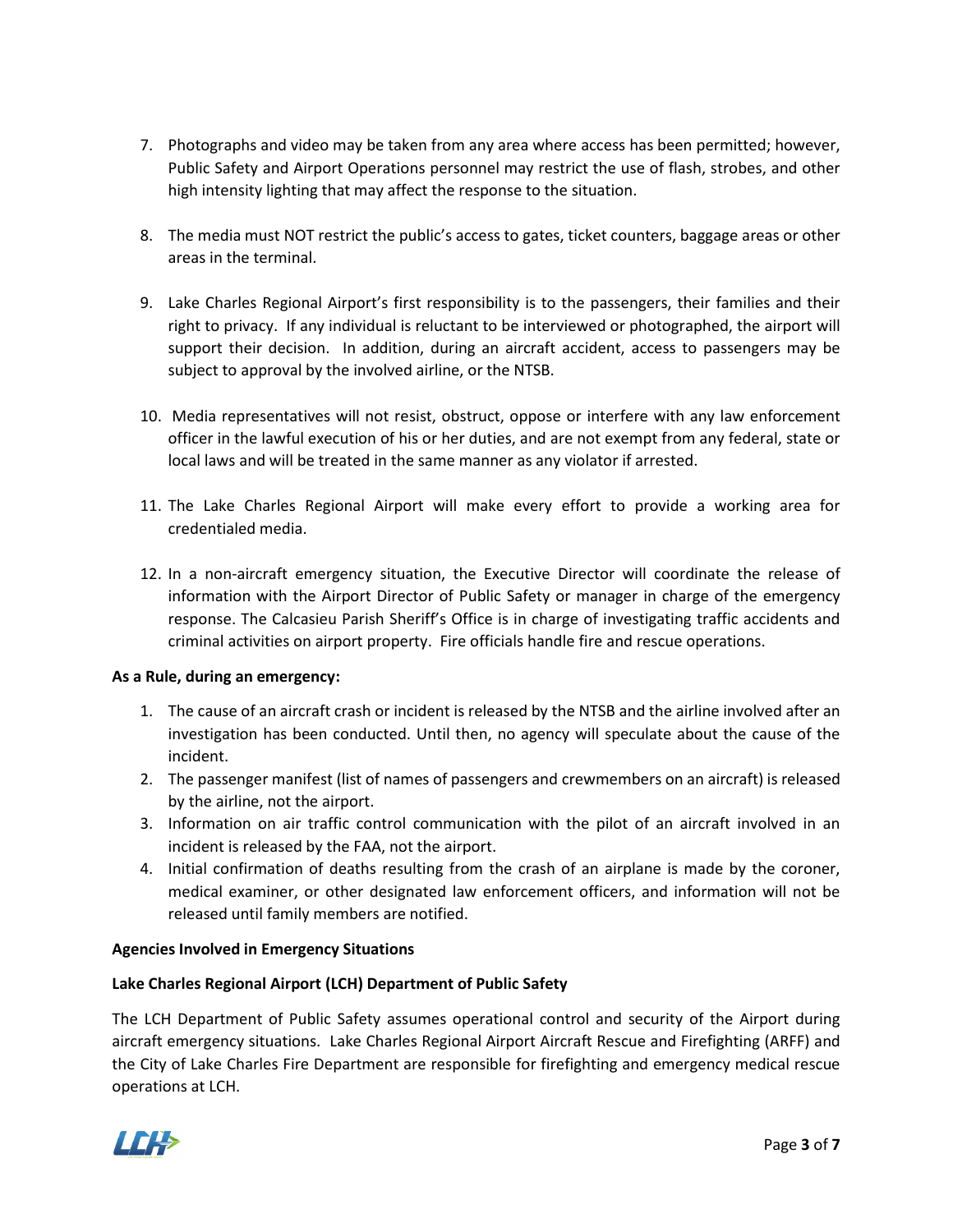- 7. Photographs and video may be taken from any area where access has been permitted; however, Public Safety and Airport Operations personnel may restrict the use of flash, strobes, and other high intensity lighting that may affect the response to the situation.
- 8. The media must NOT restrict the public's access to gates, ticket counters, baggage areas or other areas in the terminal.
- 9. Lake Charles Regional Airport's first responsibility is to the passengers, their families and their right to privacy. If any individual is reluctant to be interviewed or photographed, the airport will support their decision. In addition, during an aircraft accident, access to passengers may be subject to approval by the involved airline, or the NTSB.
- 10. Media representatives will not resist, obstruct, oppose or interfere with any law enforcement officer in the lawful execution of his or her duties, and are not exempt from any federal, state or local laws and will be treated in the same manner as any violator if arrested.
- 11. The Lake Charles Regional Airport will make every effort to provide a working area for credentialed media.
- 12. In a non-aircraft emergency situation, the Executive Director will coordinate the release of information with the Airport Director of Public Safety or manager in charge of the emergency response. The Calcasieu Parish Sheriff's Office is in charge of investigating traffic accidents and criminal activities on airport property. Fire officials handle fire and rescue operations.

## **As a Rule, during an emergency:**

- 1. The cause of an aircraft crash or incident is released by the NTSB and the airline involved after an investigation has been conducted. Until then, no agency will speculate about the cause of the incident.
- 2. The passenger manifest (list of names of passengers and crewmembers on an aircraft) is released by the airline, not the airport.
- 3. Information on air traffic control communication with the pilot of an aircraft involved in an incident is released by the FAA, not the airport.
- 4. Initial confirmation of deaths resulting from the crash of an airplane is made by the coroner, medical examiner, or other designated law enforcement officers, and information will not be released until family members are notified.

## **Agencies Involved in Emergency Situations**

## **Lake Charles Regional Airport (LCH) Department of Public Safety**

The LCH Department of Public Safety assumes operational control and security of the Airport during aircraft emergency situations. Lake Charles Regional Airport Aircraft Rescue and Firefighting (ARFF) and the City of Lake Charles Fire Department are responsible for firefighting and emergency medical rescue operations at LCH.

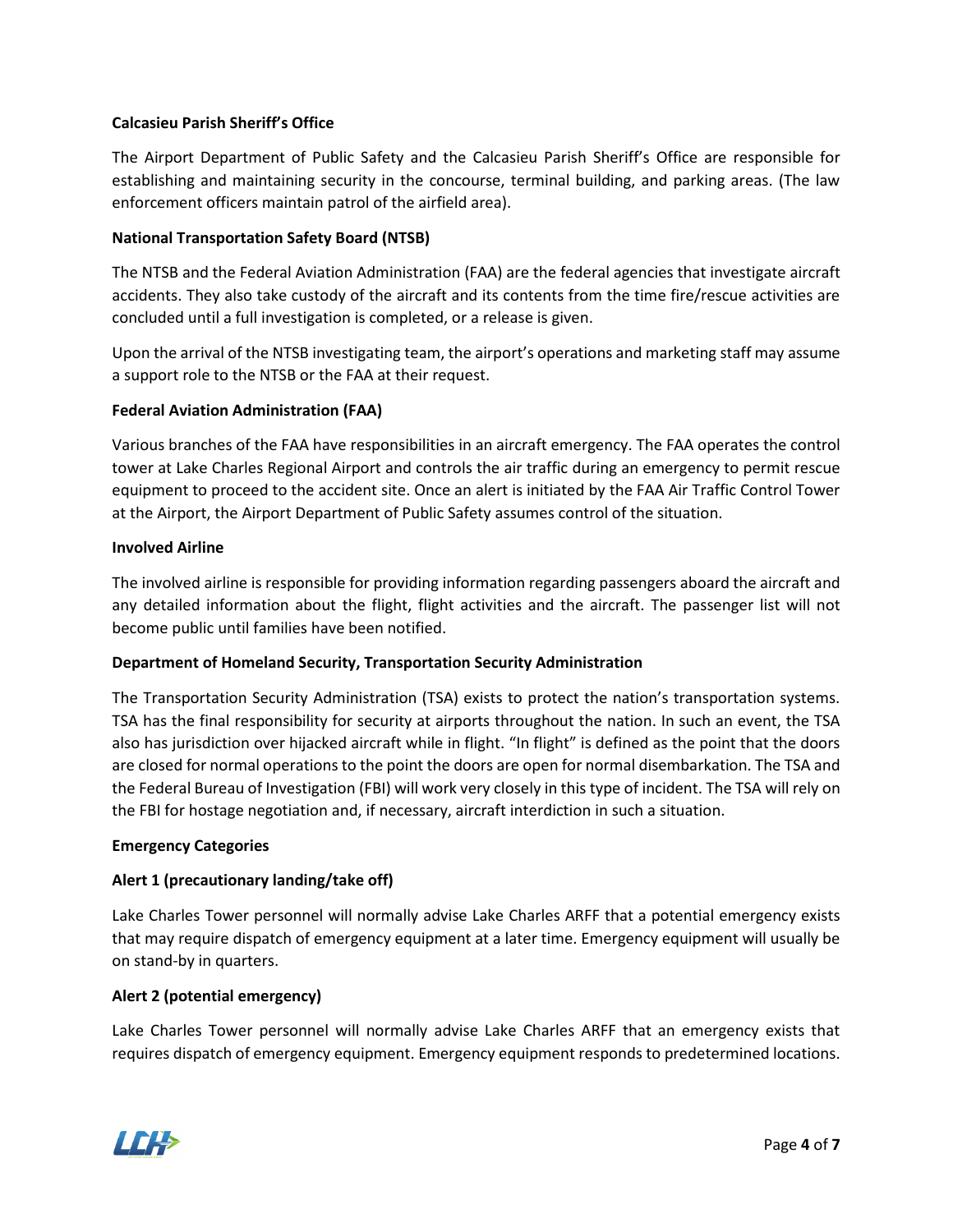## **Calcasieu Parish Sheriff's Office**

The Airport Department of Public Safety and the Calcasieu Parish Sheriff's Office are responsible for establishing and maintaining security in the concourse, terminal building, and parking areas. (The law enforcement officers maintain patrol of the airfield area).

## **National Transportation Safety Board (NTSB)**

The NTSB and the Federal Aviation Administration (FAA) are the federal agencies that investigate aircraft accidents. They also take custody of the aircraft and its contents from the time fire/rescue activities are concluded until a full investigation is completed, or a release is given.

Upon the arrival of the NTSB investigating team, the airport's operations and marketing staff may assume a support role to the NTSB or the FAA at their request.

## **Federal Aviation Administration (FAA)**

Various branches of the FAA have responsibilities in an aircraft emergency. The FAA operates the control tower at Lake Charles Regional Airport and controls the air traffic during an emergency to permit rescue equipment to proceed to the accident site. Once an alert is initiated by the FAA Air Traffic Control Tower at the Airport, the Airport Department of Public Safety assumes control of the situation.

#### **Involved Airline**

The involved airline is responsible for providing information regarding passengers aboard the aircraft and any detailed information about the flight, flight activities and the aircraft. The passenger list will not become public until families have been notified.

## **Department of Homeland Security, Transportation Security Administration**

The Transportation Security Administration (TSA) exists to protect the nation's transportation systems. TSA has the final responsibility for security at airports throughout the nation. In such an event, the TSA also has jurisdiction over hijacked aircraft while in flight. "In flight" is defined as the point that the doors are closed for normal operations to the point the doors are open for normal disembarkation. The TSA and the Federal Bureau of Investigation (FBI) will work very closely in this type of incident. The TSA will rely on the FBI for hostage negotiation and, if necessary, aircraft interdiction in such a situation.

#### **Emergency Categories**

## **Alert 1 (precautionary landing/take off)**

Lake Charles Tower personnel will normally advise Lake Charles ARFF that a potential emergency exists that may require dispatch of emergency equipment at a later time. Emergency equipment will usually be on stand-by in quarters.

#### **Alert 2 (potential emergency)**

Lake Charles Tower personnel will normally advise Lake Charles ARFF that an emergency exists that requires dispatch of emergency equipment. Emergency equipment responds to predetermined locations.

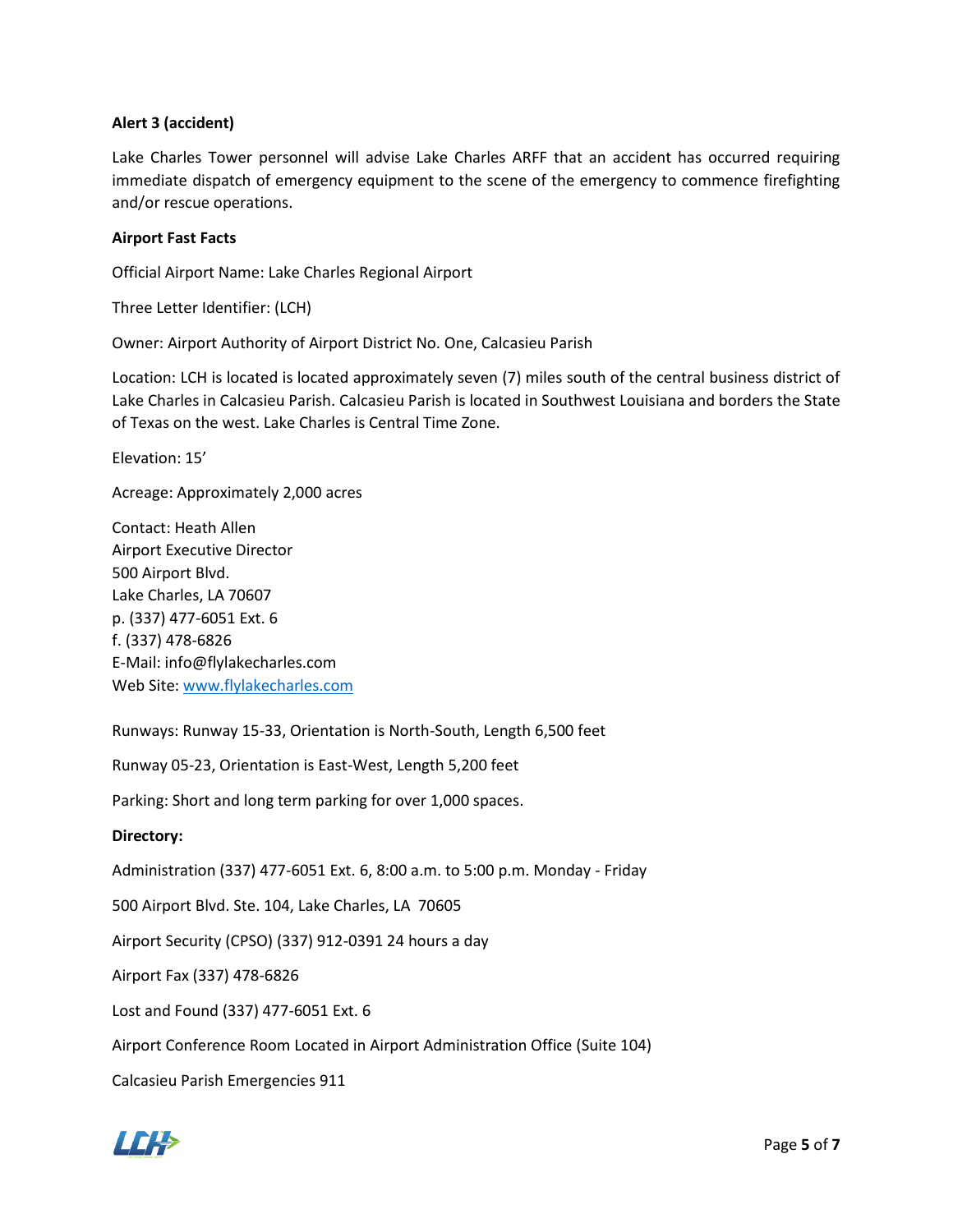## **Alert 3 (accident)**

Lake Charles Tower personnel will advise Lake Charles ARFF that an accident has occurred requiring immediate dispatch of emergency equipment to the scene of the emergency to commence firefighting and/or rescue operations.

## **Airport Fast Facts**

Official Airport Name: Lake Charles Regional Airport

Three Letter Identifier: (LCH)

Owner: Airport Authority of Airport District No. One, Calcasieu Parish

Location: LCH is located is located approximately seven (7) miles south of the central business district of Lake Charles in Calcasieu Parish. Calcasieu Parish is located in Southwest Louisiana and borders the State of Texas on the west. Lake Charles is Central Time Zone.

Elevation: 15'

Acreage: Approximately 2,000 acres

Contact: Heath Allen Airport Executive Director 500 Airport Blvd. Lake Charles, LA 70607 p. (337) 477-6051 Ext. 6 f. (337) 478-6826 E-Mail: info@flylakecharles.com Web Site[: www.flylakecharles.com](http://www.flylakecharles.com/)

Runways: Runway 15-33, Orientation is North-South, Length 6,500 feet

Runway 05-23, Orientation is East-West, Length 5,200 feet

Parking: Short and long term parking for over 1,000 spaces.

#### **Directory:**

Administration (337) 477-6051 Ext. 6, 8:00 a.m. to 5:00 p.m. Monday - Friday

500 Airport Blvd. Ste. 104, Lake Charles, LA 70605

Airport Security (CPSO) (337) 912-0391 24 hours a day

Airport Fax (337) 478-6826

Lost and Found (337) 477-6051 Ext. 6

Airport Conference Room Located in Airport Administration Office (Suite 104)

Calcasieu Parish Emergencies 911

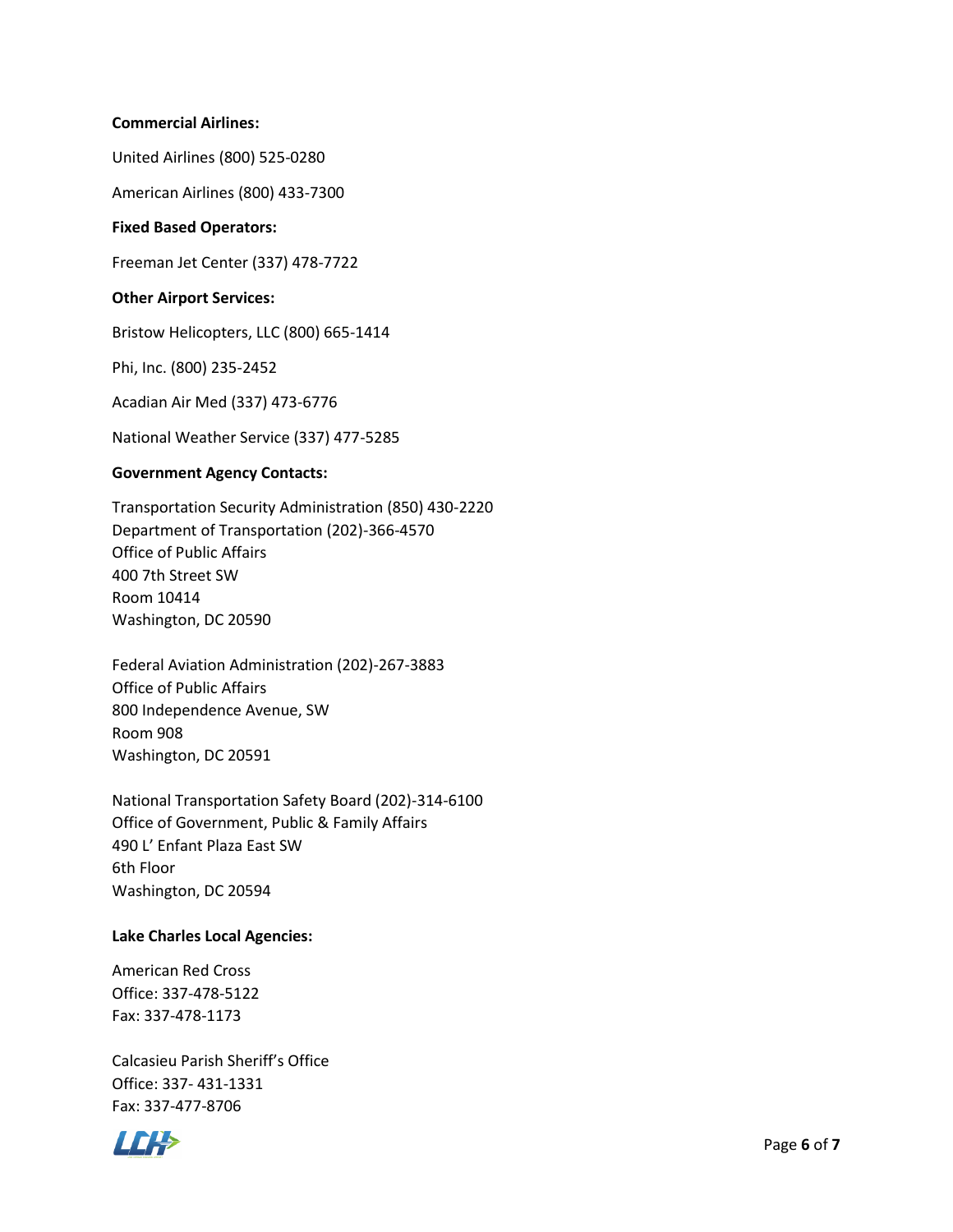#### **Commercial Airlines:**

United Airlines (800) 525-0280

American Airlines (800) 433-7300

#### **Fixed Based Operators:**

Freeman Jet Center (337) 478-7722

#### **Other Airport Services:**

Bristow Helicopters, LLC (800) 665-1414

Phi, Inc. (800) 235-2452

Acadian Air Med (337) 473-6776

National Weather Service (337) 477-5285

#### **Government Agency Contacts:**

Transportation Security Administration (850) 430-2220 Department of Transportation (202)-366-4570 Office of Public Affairs 400 7th Street SW Room 10414 Washington, DC 20590

Federal Aviation Administration (202)-267-3883 Office of Public Affairs 800 Independence Avenue, SW Room 908 Washington, DC 20591

National Transportation Safety Board (202)-314-6100 Office of Government, Public & Family Affairs 490 L' Enfant Plaza East SW 6th Floor Washington, DC 20594

## **Lake Charles Local Agencies:**

American Red Cross Office: 337-478-5122 Fax: 337-478-1173

Calcasieu Parish Sheriff's Office Office: 337- 431-1331 Fax: 337-477-8706